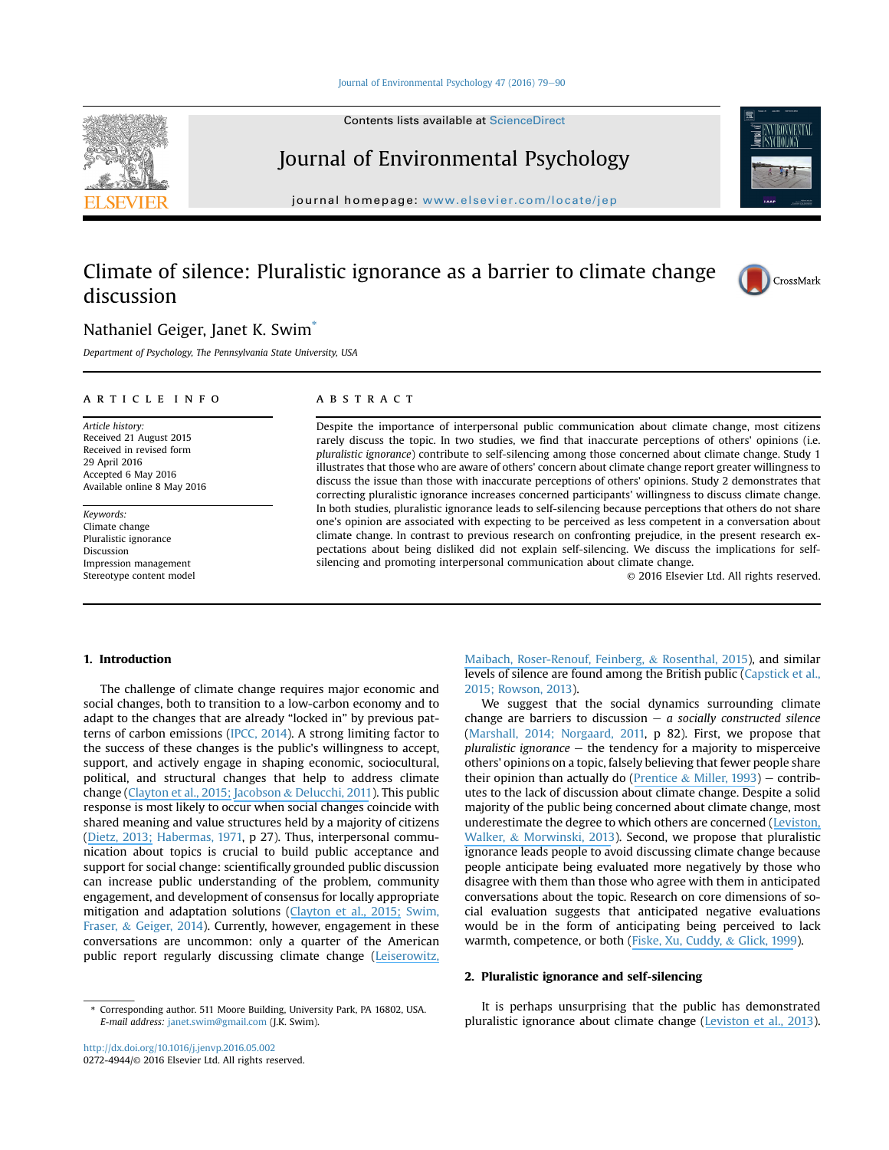Journal of Environmental Psychology 47 (2016) 79-90

Contents lists available at ScienceDirect



# Journal of Environmental Psychology

journal homepage: www.elsevier.com/locate/jep

## Climate of silence: Pluralistic ignorance as a barrier to climate change discussion



CrossMark

## Nathaniel Geiger, Janet K. Swim\*

Department of Psychology, The Pennsylvania State University, USA

## article info

Article history: Received 21 August 2015 Received in revised form 29 April 2016 Accepted 6 May 2016 Available online 8 May 2016

Keywords: Climate change Pluralistic ignorance Discussion Impression management Stereotype content model

## ABSTRACT

Despite the importance of interpersonal public communication about climate change, most citizens rarely discuss the topic. In two studies, we find that inaccurate perceptions of others' opinions (i.e. pluralistic ignorance) contribute to self-silencing among those concerned about climate change. Study 1 illustrates that those who are aware of others' concern about climate change report greater willingness to discuss the issue than those with inaccurate perceptions of others' opinions. Study 2 demonstrates that correcting pluralistic ignorance increases concerned participants' willingness to discuss climate change. In both studies, pluralistic ignorance leads to self-silencing because perceptions that others do not share one's opinion are associated with expecting to be perceived as less competent in a conversation about climate change. In contrast to previous research on confronting prejudice, in the present research expectations about being disliked did not explain self-silencing. We discuss the implications for selfsilencing and promoting interpersonal communication about climate change.

© 2016 Elsevier Ltd. All rights reserved.

## 1. Introduction

The challenge of climate change requires major economic and social changes, both to transition to a low-carbon economy and to adapt to the changes that are already "locked in" by previous patterns of carbon emissions (IPCC, 2014). A strong limiting factor to the success of these changes is the public's willingness to accept, support, and actively engage in shaping economic, sociocultural, political, and structural changes that help to address climate change (Clayton et al., 2015; Jacobson & Delucchi, 2011). This public response is most likely to occur when social changes coincide with shared meaning and value structures held by a majority of citizens (Dietz, 2013; Habermas, 1971, p 27). Thus, interpersonal communication about topics is crucial to build public acceptance and support for social change: scientifically grounded public discussion can increase public understanding of the problem, community engagement, and development of consensus for locally appropriate mitigation and adaptation solutions (Clayton et al., 2015; Swim, Fraser, & Geiger, 2014). Currently, however, engagement in these conversations are uncommon: only a quarter of the American public report regularly discussing climate change (Leiserowitz,

Maibach, Roser-Renouf, Feinberg, & Rosenthal, 2015), and similar levels of silence are found among the British public (Capstick et al., 2015; Rowson, 2013).

We suggest that the social dynamics surrounding climate change are barriers to discussion  $- a$  socially constructed silence (Marshall, 2014; Norgaard, 2011, p 82). First, we propose that pluralistic ignorance  $-$  the tendency for a majority to misperceive others' opinions on a topic, falsely believing that fewer people share their opinion than actually do (Prentice & Miller, 1993) – contributes to the lack of discussion about climate change. Despite a solid majority of the public being concerned about climate change, most underestimate the degree to which others are concerned (Leviston, Walker, & Morwinski, 2013). Second, we propose that pluralistic ignorance leads people to avoid discussing climate change because people anticipate being evaluated more negatively by those who disagree with them than those who agree with them in anticipated conversations about the topic. Research on core dimensions of social evaluation suggests that anticipated negative evaluations would be in the form of anticipating being perceived to lack warmth, competence, or both (Fiske, Xu, Cuddy, & Glick, 1999).

## 2. Pluralistic ignorance and self-silencing

It is perhaps unsurprising that the public has demonstrated pluralistic ignorance about climate change (Leviston et al., 2013).

<sup>\*</sup> Corresponding author. 511 Moore Building, University Park, PA 16802, USA. E-mail address: janet.swim@gmail.com (J.K. Swim).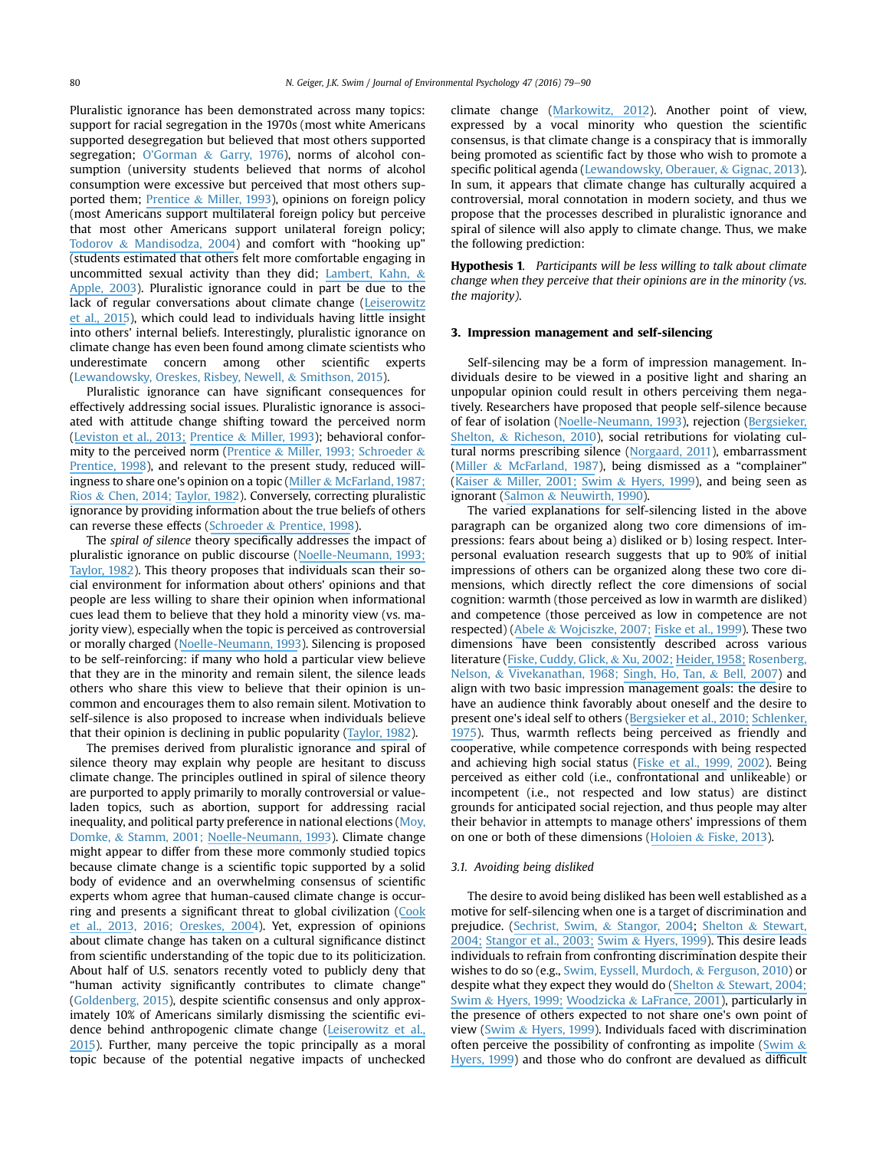Pluralistic ignorance has been demonstrated across many topics: support for racial segregation in the 1970s (most white Americans supported desegregation but believed that most others supported segregation; O'Gorman & Garry, 1976), norms of alcohol consumption (university students believed that norms of alcohol consumption were excessive but perceived that most others supported them; Prentice  $&$  Miller, 1993), opinions on foreign policy (most Americans support multilateral foreign policy but perceive that most other Americans support unilateral foreign policy; Todorov & Mandisodza, 2004) and comfort with "hooking up" (students estimated that others felt more comfortable engaging in uncommitted sexual activity than they did; Lambert, Kahn,  $\&$ Apple, 2003). Pluralistic ignorance could in part be due to the lack of regular conversations about climate change (Leiserowitz et al., 2015), which could lead to individuals having little insight into others' internal beliefs. Interestingly, pluralistic ignorance on climate change has even been found among climate scientists who underestimate concern among other scientific experts (Lewandowsky, Oreskes, Risbey, Newell, & Smithson, 2015).

Pluralistic ignorance can have significant consequences for effectively addressing social issues. Pluralistic ignorance is associated with attitude change shifting toward the perceived norm (Leviston et al., 2013; Prentice & Miller, 1993); behavioral conformity to the perceived norm (Prentice & Miller, 1993; Schroeder & Prentice, 1998), and relevant to the present study, reduced willingness to share one's opinion on a topic (Miller & McFarland, 1987; Rios & Chen, 2014; Taylor, 1982). Conversely, correcting pluralistic ignorance by providing information about the true beliefs of others can reverse these effects (Schroeder & Prentice, 1998).

The spiral of silence theory specifically addresses the impact of pluralistic ignorance on public discourse (Noelle-Neumann, 1993; Taylor, 1982). This theory proposes that individuals scan their social environment for information about others' opinions and that people are less willing to share their opinion when informational cues lead them to believe that they hold a minority view (vs. majority view), especially when the topic is perceived as controversial or morally charged (Noelle-Neumann, 1993). Silencing is proposed to be self-reinforcing: if many who hold a particular view believe that they are in the minority and remain silent, the silence leads others who share this view to believe that their opinion is uncommon and encourages them to also remain silent. Motivation to self-silence is also proposed to increase when individuals believe that their opinion is declining in public popularity (Taylor, 1982).

The premises derived from pluralistic ignorance and spiral of silence theory may explain why people are hesitant to discuss climate change. The principles outlined in spiral of silence theory are purported to apply primarily to morally controversial or valueladen topics, such as abortion, support for addressing racial inequality, and political party preference in national elections (Moy, Domke, & Stamm, 2001; Noelle-Neumann, 1993). Climate change might appear to differ from these more commonly studied topics because climate change is a scientific topic supported by a solid body of evidence and an overwhelming consensus of scientific experts whom agree that human-caused climate change is occurring and presents a significant threat to global civilization (Cook et al., 2013, 2016; Oreskes, 2004). Yet, expression of opinions about climate change has taken on a cultural significance distinct from scientific understanding of the topic due to its politicization. About half of U.S. senators recently voted to publicly deny that "human activity significantly contributes to climate change" (Goldenberg, 2015), despite scientific consensus and only approximately 10% of Americans similarly dismissing the scientific evidence behind anthropogenic climate change (Leiserowitz et al., 2015). Further, many perceive the topic principally as a moral topic because of the potential negative impacts of unchecked

climate change (Markowitz, 2012). Another point of view, expressed by a vocal minority who question the scientific consensus, is that climate change is a conspiracy that is immorally being promoted as scientific fact by those who wish to promote a specific political agenda (Lewandowsky, Oberauer, & Gignac, 2013). In sum, it appears that climate change has culturally acquired a controversial, moral connotation in modern society, and thus we propose that the processes described in pluralistic ignorance and spiral of silence will also apply to climate change. Thus, we make the following prediction:

Hypothesis 1. Participants will be less willing to talk about climate change when they perceive that their opinions are in the minority (vs. the majority).

## 3. Impression management and self-silencing

Self-silencing may be a form of impression management. Individuals desire to be viewed in a positive light and sharing an unpopular opinion could result in others perceiving them negatively. Researchers have proposed that people self-silence because of fear of isolation (Noelle-Neumann, 1993), rejection (Bergsieker, Shelton, & Richeson, 2010), social retributions for violating cultural norms prescribing silence (Norgaard, 2011), embarrassment (Miller & McFarland, 1987), being dismissed as a "complainer" (Kaiser & Miller, 2001; Swim & Hyers, 1999), and being seen as ignorant (Salmon & Neuwirth, 1990).

The varied explanations for self-silencing listed in the above paragraph can be organized along two core dimensions of impressions: fears about being a) disliked or b) losing respect. Interpersonal evaluation research suggests that up to 90% of initial impressions of others can be organized along these two core dimensions, which directly reflect the core dimensions of social cognition: warmth (those perceived as low in warmth are disliked) and competence (those perceived as low in competence are not respected) (Abele & Wojciszke, 2007; Fiske et al., 1999). These two dimensions have been consistently described across various literature (Fiske, Cuddy, Glick, & Xu, 2002; Heider, 1958; Rosenberg, Nelson, & Vivekanathan, 1968; Singh, Ho, Tan, & Bell, 2007) and align with two basic impression management goals: the desire to have an audience think favorably about oneself and the desire to present one's ideal self to others (Bergsieker et al., 2010; Schlenker, 1975). Thus, warmth reflects being perceived as friendly and cooperative, while competence corresponds with being respected and achieving high social status (Fiske et al., 1999, 2002). Being perceived as either cold (i.e., confrontational and unlikeable) or incompetent (i.e., not respected and low status) are distinct grounds for anticipated social rejection, and thus people may alter their behavior in attempts to manage others' impressions of them on one or both of these dimensions (Holoien & Fiske, 2013).

### 3.1. Avoiding being disliked

The desire to avoid being disliked has been well established as a motive for self-silencing when one is a target of discrimination and prejudice. (Sechrist, Swim, & Stangor, 2004; Shelton & Stewart, 2004; Stangor et al., 2003; Swim & Hyers, 1999). This desire leads individuals to refrain from confronting discrimination despite their wishes to do so (e.g., Swim, Eyssell, Murdoch, & Ferguson, 2010) or despite what they expect they would do (Shelton & Stewart, 2004; Swim & Hyers, 1999; Woodzicka & LaFrance, 2001), particularly in the presence of others expected to not share one's own point of view (Swim & Hyers, 1999). Individuals faced with discrimination often perceive the possibility of confronting as impolite (Swim  $\&$ Hyers, 1999) and those who do confront are devalued as difficult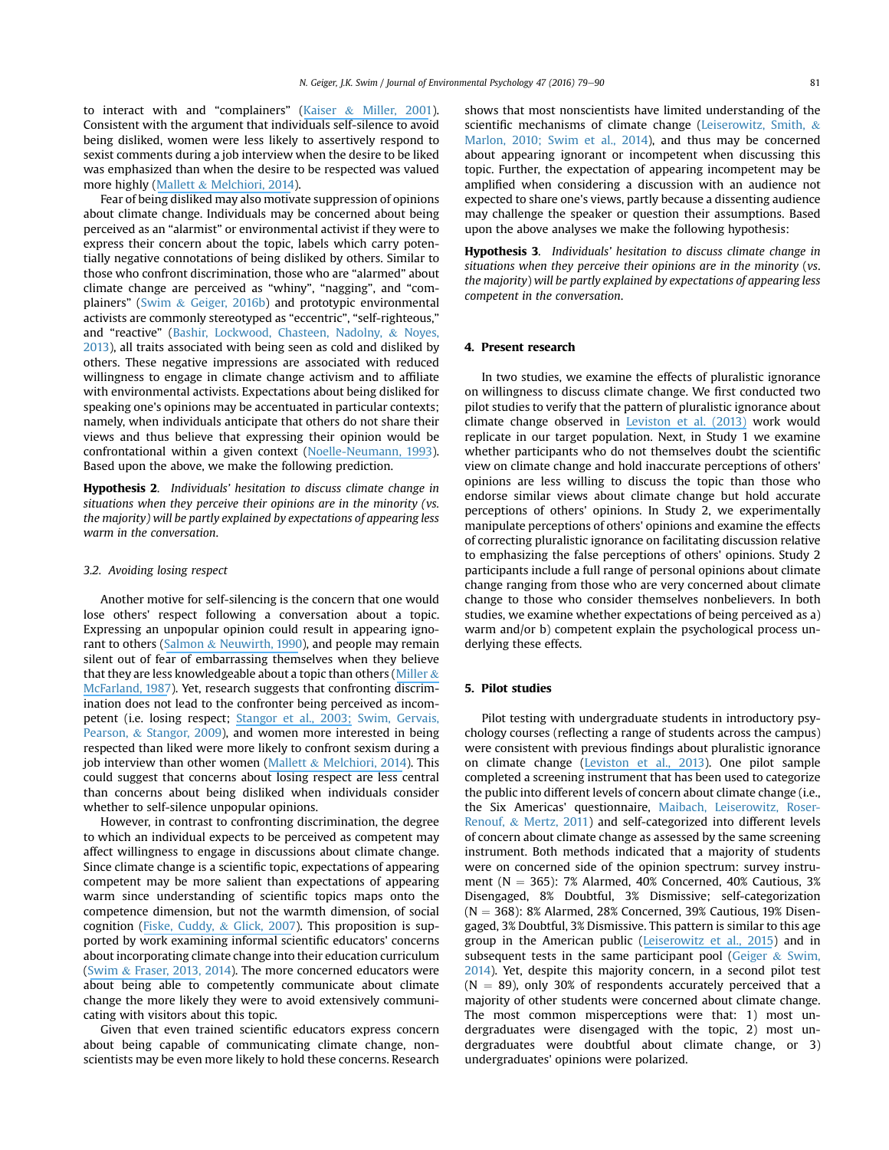to interact with and "complainers" (Kaiser & Miller, 2001). Consistent with the argument that individuals self-silence to avoid being disliked, women were less likely to assertively respond to sexist comments during a job interview when the desire to be liked was emphasized than when the desire to be respected was valued more highly (Mallett & Melchiori, 2014).

Fear of being disliked may also motivate suppression of opinions about climate change. Individuals may be concerned about being perceived as an "alarmist" or environmental activist if they were to express their concern about the topic, labels which carry potentially negative connotations of being disliked by others. Similar to those who confront discrimination, those who are "alarmed" about climate change are perceived as "whiny", "nagging", and "complainers" (Swim & Geiger, 2016b) and prototypic environmental activists are commonly stereotyped as "eccentric", "self-righteous," and "reactive" (Bashir, Lockwood, Chasteen, Nadolny, & Noyes, 2013), all traits associated with being seen as cold and disliked by others. These negative impressions are associated with reduced willingness to engage in climate change activism and to affiliate with environmental activists. Expectations about being disliked for speaking one's opinions may be accentuated in particular contexts; namely, when individuals anticipate that others do not share their views and thus believe that expressing their opinion would be confrontational within a given context (Noelle-Neumann, 1993). Based upon the above, we make the following prediction.

Hypothesis 2. Individuals' hesitation to discuss climate change in situations when they perceive their opinions are in the minority (vs. the majority) will be partly explained by expectations of appearing less warm in the conversation.

#### 3.2. Avoiding losing respect

Another motive for self-silencing is the concern that one would lose others' respect following a conversation about a topic. Expressing an unpopular opinion could result in appearing ignorant to others (Salmon  $&$  Neuwirth, 1990), and people may remain silent out of fear of embarrassing themselves when they believe that they are less knowledgeable about a topic than others (Miller  $\&$ McFarland, 1987). Yet, research suggests that confronting discrimination does not lead to the confronter being perceived as incompetent (i.e. losing respect; Stangor et al., 2003; Swim, Gervais, Pearson, & Stangor, 2009), and women more interested in being respected than liked were more likely to confront sexism during a job interview than other women (Mallett  $&$  Melchiori, 2014). This could suggest that concerns about losing respect are less central than concerns about being disliked when individuals consider whether to self-silence unpopular opinions.

However, in contrast to confronting discrimination, the degree to which an individual expects to be perceived as competent may affect willingness to engage in discussions about climate change. Since climate change is a scientific topic, expectations of appearing competent may be more salient than expectations of appearing warm since understanding of scientific topics maps onto the competence dimension, but not the warmth dimension, of social cognition (Fiske, Cuddy, & Glick, 2007). This proposition is supported by work examining informal scientific educators' concerns about incorporating climate change into their education curriculum (Swim & Fraser, 2013, 2014). The more concerned educators were about being able to competently communicate about climate change the more likely they were to avoid extensively communicating with visitors about this topic.

Given that even trained scientific educators express concern about being capable of communicating climate change, nonscientists may be even more likely to hold these concerns. Research

shows that most nonscientists have limited understanding of the scientific mechanisms of climate change (Leiserowitz, Smith, & Marlon, 2010; Swim et al., 2014), and thus may be concerned about appearing ignorant or incompetent when discussing this topic. Further, the expectation of appearing incompetent may be amplified when considering a discussion with an audience not expected to share one's views, partly because a dissenting audience may challenge the speaker or question their assumptions. Based upon the above analyses we make the following hypothesis:

**Hypothesis 3.** Individuals' hesitation to discuss climate change in situations when they perceive their opinions are in the minority (vs. the majority) will be partly explained by expectations of appearing less competent in the conversation.

#### 4. Present research

In two studies, we examine the effects of pluralistic ignorance on willingness to discuss climate change. We first conducted two pilot studies to verify that the pattern of pluralistic ignorance about climate change observed in Leviston et al. (2013) work would replicate in our target population. Next, in Study 1 we examine whether participants who do not themselves doubt the scientific view on climate change and hold inaccurate perceptions of others' opinions are less willing to discuss the topic than those who endorse similar views about climate change but hold accurate perceptions of others' opinions. In Study 2, we experimentally manipulate perceptions of others' opinions and examine the effects of correcting pluralistic ignorance on facilitating discussion relative to emphasizing the false perceptions of others' opinions. Study 2 participants include a full range of personal opinions about climate change ranging from those who are very concerned about climate change to those who consider themselves nonbelievers. In both studies, we examine whether expectations of being perceived as a) warm and/or b) competent explain the psychological process underlying these effects.

## 5. Pilot studies

Pilot testing with undergraduate students in introductory psychology courses (reflecting a range of students across the campus) were consistent with previous findings about pluralistic ignorance on climate change (Leviston et al., 2013). One pilot sample completed a screening instrument that has been used to categorize the public into different levels of concern about climate change (i.e., the Six Americas' questionnaire, Maibach, Leiserowitz, Roser-Renouf, & Mertz, 2011) and self-categorized into different levels of concern about climate change as assessed by the same screening instrument. Both methods indicated that a majority of students were on concerned side of the opinion spectrum: survey instrument ( $N = 365$ ): 7% Alarmed, 40% Concerned, 40% Cautious, 3% Disengaged, 8% Doubtful, 3% Dismissive; self-categorization  $(N = 368)$ : 8% Alarmed, 28% Concerned, 39% Cautious, 19% Disengaged, 3% Doubtful, 3% Dismissive. This pattern is similar to this age group in the American public (Leiserowitz et al., 2015) and in subsequent tests in the same participant pool (Geiger  $&$  Swim, 2014). Yet, despite this majority concern, in a second pilot test  $(N = 89)$ , only 30% of respondents accurately perceived that a majority of other students were concerned about climate change. The most common misperceptions were that: 1) most undergraduates were disengaged with the topic, 2) most undergraduates were doubtful about climate change, or 3) undergraduates' opinions were polarized.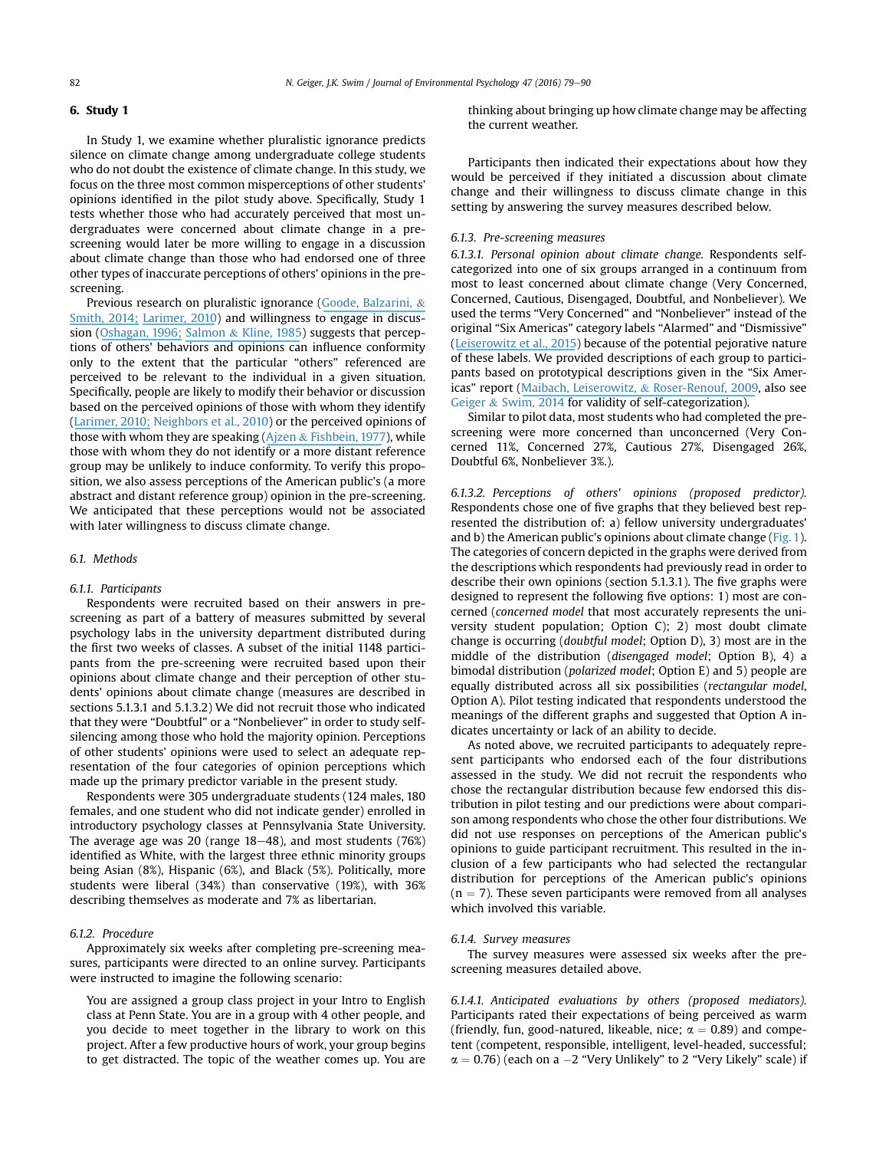## 6. Study 1

In Study 1, we examine whether pluralistic ignorance predicts silence on climate change among undergraduate college students who do not doubt the existence of climate change. In this study, we focus on the three most common misperceptions of other students' opinions identified in the pilot study above. Specifically, Study 1 tests whether those who had accurately perceived that most undergraduates were concerned about climate change in a prescreening would later be more willing to engage in a discussion about climate change than those who had endorsed one of three other types of inaccurate perceptions of others' opinions in the prescreening.

Previous research on pluralistic ignorance (Goode, Balzarini, & Smith, 2014; Larimer, 2010) and willingness to engage in discussion (Oshagan, 1996; Salmon & Kline, 1985) suggests that perceptions of others' behaviors and opinions can influence conformity only to the extent that the particular "others" referenced are perceived to be relevant to the individual in a given situation. Specifically, people are likely to modify their behavior or discussion based on the perceived opinions of those with whom they identify (Larimer, 2010; Neighbors et al., 2010) or the perceived opinions of those with whom they are speaking  $(Aizen \& Fishbein, 1977)$ , while those with whom they do not identify or a more distant reference group may be unlikely to induce conformity. To verify this proposition, we also assess perceptions of the American public's (a more abstract and distant reference group) opinion in the pre-screening. We anticipated that these perceptions would not be associated with later willingness to discuss climate change.

## 6.1. Methods

## 6.1.1. Participants

Respondents were recruited based on their answers in prescreening as part of a battery of measures submitted by several psychology labs in the university department distributed during the first two weeks of classes. A subset of the initial 1148 participants from the pre-screening were recruited based upon their opinions about climate change and their perception of other students' opinions about climate change (measures are described in sections 5.1.3.1 and 5.1.3.2) We did not recruit those who indicated that they were "Doubtful" or a "Nonbeliever" in order to study selfsilencing among those who hold the majority opinion. Perceptions of other students' opinions were used to select an adequate representation of the four categories of opinion perceptions which made up the primary predictor variable in the present study.

Respondents were 305 undergraduate students (124 males, 180 females, and one student who did not indicate gender) enrolled in introductory psychology classes at Pennsylvania State University. The average age was 20 (range  $18-48$ ), and most students (76%) identified as White, with the largest three ethnic minority groups being Asian (8%), Hispanic (6%), and Black (5%). Politically, more students were liberal (34%) than conservative (19%), with 36% describing themselves as moderate and 7% as libertarian.

## 6.1.2. Procedure

Approximately six weeks after completing pre-screening measures, participants were directed to an online survey. Participants were instructed to imagine the following scenario:

You are assigned a group class project in your Intro to English class at Penn State. You are in a group with 4 other people, and you decide to meet together in the library to work on this project. After a few productive hours of work, your group begins to get distracted. The topic of the weather comes up. You are thinking about bringing up how climate change may be affecting the current weather.

Participants then indicated their expectations about how they would be perceived if they initiated a discussion about climate change and their willingness to discuss climate change in this setting by answering the survey measures described below.

## 6.1.3. Pre-screening measures

6.1.3.1. Personal opinion about climate change. Respondents selfcategorized into one of six groups arranged in a continuum from most to least concerned about climate change (Very Concerned, Concerned, Cautious, Disengaged, Doubtful, and Nonbeliever). We used the terms "Very Concerned" and "Nonbeliever" instead of the original "Six Americas" category labels "Alarmed" and "Dismissive" (Leiserowitz et al., 2015) because of the potential pejorative nature of these labels. We provided descriptions of each group to participants based on prototypical descriptions given in the "Six Americas" report (Maibach, Leiserowitz, & Roser-Renouf, 2009, also see Geiger & Swim, 2014 for validity of self-categorization).

Similar to pilot data, most students who had completed the prescreening were more concerned than unconcerned (Very Concerned 11%, Concerned 27%, Cautious 27%, Disengaged 26%, Doubtful 6%, Nonbeliever 3%.).

6.1.3.2. Perceptions of others' opinions (proposed predictor). Respondents chose one of five graphs that they believed best represented the distribution of: a) fellow university undergraduates' and b) the American public's opinions about climate change (Fig. 1). The categories of concern depicted in the graphs were derived from the descriptions which respondents had previously read in order to describe their own opinions (section 5.1.3.1). The five graphs were designed to represent the following five options: 1) most are concerned (concerned model that most accurately represents the university student population; Option C); 2) most doubt climate change is occurring (doubtful model; Option D), 3) most are in the middle of the distribution (disengaged model; Option B), 4) a bimodal distribution (polarized model; Option E) and 5) people are equally distributed across all six possibilities (rectangular model, Option A). Pilot testing indicated that respondents understood the meanings of the different graphs and suggested that Option A indicates uncertainty or lack of an ability to decide.

As noted above, we recruited participants to adequately represent participants who endorsed each of the four distributions assessed in the study. We did not recruit the respondents who chose the rectangular distribution because few endorsed this distribution in pilot testing and our predictions were about comparison among respondents who chose the other four distributions. We did not use responses on perceptions of the American public's opinions to guide participant recruitment. This resulted in the inclusion of a few participants who had selected the rectangular distribution for perceptions of the American public's opinions  $(n = 7)$ . These seven participants were removed from all analyses which involved this variable.

#### 6.1.4. Survey measures

The survey measures were assessed six weeks after the prescreening measures detailed above.

6.1.4.1. Anticipated evaluations by others (proposed mediators). Participants rated their expectations of being perceived as warm (friendly, fun, good-natured, likeable, nice;  $\alpha = 0.89$ ) and competent (competent, responsible, intelligent, level-headed, successful;  $\alpha = 0.76$ ) (each on a  $-2$  "Very Unlikely" to 2 "Very Likely" scale) if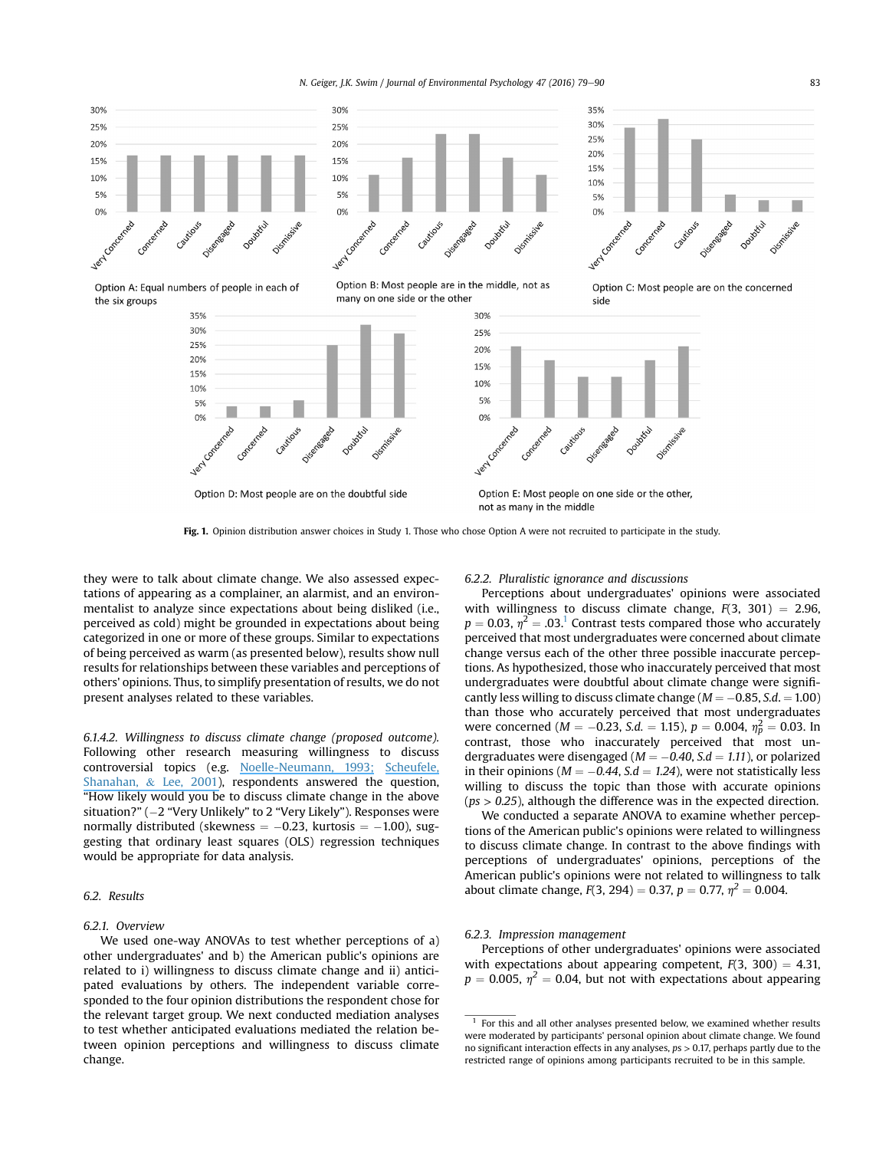N. Geiger, J.K. Swim / Journal of Environmental Psychology 47 (2016) 79-90 83



Fig. 1. Opinion distribution answer choices in Study 1. Those who chose Option A were not recruited to participate in the study.

they were to talk about climate change. We also assessed expectations of appearing as a complainer, an alarmist, and an environmentalist to analyze since expectations about being disliked (i.e., perceived as cold) might be grounded in expectations about being categorized in one or more of these groups. Similar to expectations of being perceived as warm (as presented below), results show null results for relationships between these variables and perceptions of others' opinions. Thus, to simplify presentation of results, we do not present analyses related to these variables.

6.1.4.2. Willingness to discuss climate change (proposed outcome). Following other research measuring willingness to discuss controversial topics (e.g. Noelle-Neumann, 1993; Scheufele, Shanahan, & Lee, 2001), respondents answered the question, "How likely would you be to discuss climate change in the above situation?"  $(-2$  "Very Unlikely" to 2 "Very Likely"). Responses were normally distributed (skewness  $= -0.23$ , kurtosis  $= -1.00$ ), suggesting that ordinary least squares (OLS) regression techniques would be appropriate for data analysis.

## 6.2. Results

## 6.2.1. Overview

We used one-way ANOVAs to test whether perceptions of a) other undergraduates' and b) the American public's opinions are related to i) willingness to discuss climate change and ii) anticipated evaluations by others. The independent variable corresponded to the four opinion distributions the respondent chose for the relevant target group. We next conducted mediation analyses to test whether anticipated evaluations mediated the relation between opinion perceptions and willingness to discuss climate change.

#### 6.2.2. Pluralistic ignorance and discussions

Perceptions about undergraduates' opinions were associated with willingness to discuss climate change,  $F(3, 301) = 2.96$ ,  $p = 0.03$ ,  $\eta^2 = .03$ .<sup>1</sup> Contrast tests compared those who accurately perceived that most undergraduates were concerned about climate change versus each of the other three possible inaccurate perceptions. As hypothesized, those who inaccurately perceived that most undergraduates were doubtful about climate change were significantly less willing to discuss climate change ( $M = -0.85$ , S.d.  $= 1.00$ ) than those who accurately perceived that most undergraduates were concerned ( $M = -0.23$ , S.d.  $= 1.15$ ),  $p = 0.004$ ,  $\eta_p^2 = 0.03$ . In contrast, those who inaccurately perceived that most undergraduates were disengaged ( $M = -0.40$ , S. $d = 1.11$ ), or polarized in their opinions ( $M = -0.44$ ,  $S.d = 1.24$ ), were not statistically less willing to discuss the topic than those with accurate opinions  $(ps > 0.25)$ , although the difference was in the expected direction.

We conducted a separate ANOVA to examine whether perceptions of the American public's opinions were related to willingness to discuss climate change. In contrast to the above findings with perceptions of undergraduates' opinions, perceptions of the American public's opinions were not related to willingness to talk about climate change,  $F(3, 294) = 0.37$ ,  $p = 0.77$ ,  $\eta^2 = 0.004$ .

## 6.2.3. Impression management

Perceptions of other undergraduates' opinions were associated with expectations about appearing competent,  $F(3, 300) = 4.31$ ,  $p = 0.005$ ,  $\eta^2 = 0.04$ , but not with expectations about appearing

 $1$  For this and all other analyses presented below, we examined whether results were moderated by participants' personal opinion about climate change. We found no significant interaction effects in any analyses, ps > 0.17, perhaps partly due to the restricted range of opinions among participants recruited to be in this sample.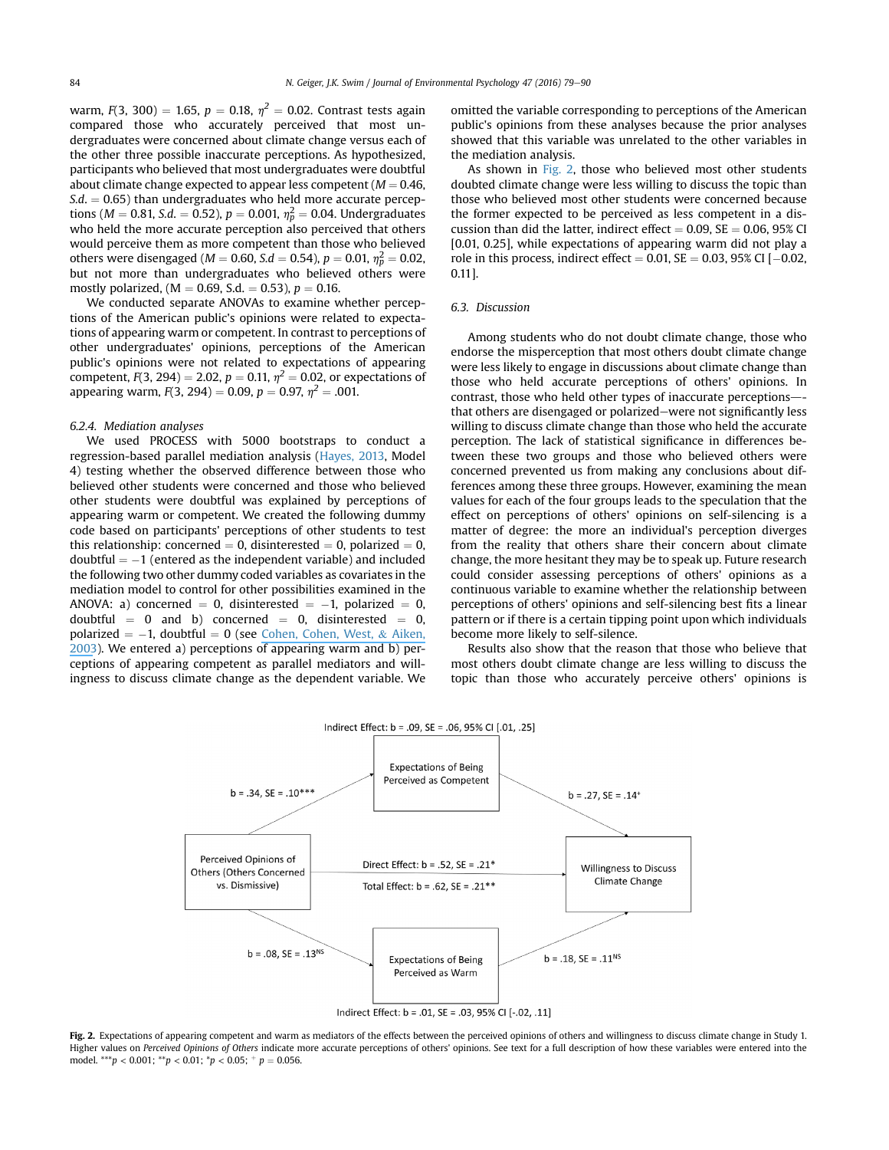warm,  $F(3, 300) = 1.65$ ,  $p = 0.18$ ,  $\eta^2 = 0.02$ . Contrast tests again compared those who accurately perceived that most undergraduates were concerned about climate change versus each of the other three possible inaccurate perceptions. As hypothesized, participants who believed that most undergraduates were doubtful about climate change expected to appear less competent ( $M = 0.46$ ,  $S.d. = 0.65$ ) than undergraduates who held more accurate perceptions (M = 0.81, S.d. = 0.52), p = 0.001,  $\eta_p^2$  = 0.04. Undergraduates who held the more accurate perception also perceived that others would perceive them as more competent than those who believed others were disengaged (M = 0.60, S.d = 0.54),  $p =$  0.01,  $\eta_p^2 =$  0.02, but not more than undergraduates who believed others were mostly polarized, ( $M = 0.69$ , S.d.  $= 0.53$ ),  $p = 0.16$ .

We conducted separate ANOVAs to examine whether perceptions of the American public's opinions were related to expectations of appearing warm or competent. In contrast to perceptions of other undergraduates' opinions, perceptions of the American public's opinions were not related to expectations of appearing competent,  $F(3, 294) = 2.02$ ,  $p = 0.11$ ,  $\eta^2 = 0.02$ , or expectations of appearing warm,  $F(3, 294) = 0.09$ ,  $p = 0.97$ ,  $\eta^2 = .001$ .

## 6.2.4. Mediation analyses

We used PROCESS with 5000 bootstraps to conduct a regression-based parallel mediation analysis (Hayes, 2013, Model 4) testing whether the observed difference between those who believed other students were concerned and those who believed other students were doubtful was explained by perceptions of appearing warm or competent. We created the following dummy code based on participants' perceptions of other students to test this relationship: concerned  $= 0$ , disinterested  $= 0$ , polarized  $= 0$ , doubtful  $= -1$  (entered as the independent variable) and included the following two other dummy coded variables as covariates in the mediation model to control for other possibilities examined in the ANOVA: a) concerned = 0, disinterested =  $-1$ , polarized = 0, doubtful  $= 0$  and b) concerned  $= 0$ , disinterested  $= 0$ , polarized  $= -1$ , doubtful  $= 0$  (see Cohen, Cohen, West, & Aiken, 2003). We entered a) perceptions of appearing warm and b) perceptions of appearing competent as parallel mediators and willingness to discuss climate change as the dependent variable. We omitted the variable corresponding to perceptions of the American public's opinions from these analyses because the prior analyses showed that this variable was unrelated to the other variables in the mediation analysis.

As shown in Fig. 2, those who believed most other students doubted climate change were less willing to discuss the topic than those who believed most other students were concerned because the former expected to be perceived as less competent in a discussion than did the latter, indirect effect  $= 0.09$ , SE  $= 0.06$ , 95% CI [0.01, 0.25], while expectations of appearing warm did not play a role in this process, indirect effect  $= 0.01$ , SE  $= 0.03$ , 95% CI  $[-0.02,$ 0.11].

#### 6.3. Discussion

Among students who do not doubt climate change, those who endorse the misperception that most others doubt climate change were less likely to engage in discussions about climate change than those who held accurate perceptions of others' opinions. In contrast, those who held other types of inaccurate perceptions--that others are disengaged or polarized-were not significantly less willing to discuss climate change than those who held the accurate perception. The lack of statistical significance in differences between these two groups and those who believed others were concerned prevented us from making any conclusions about differences among these three groups. However, examining the mean values for each of the four groups leads to the speculation that the effect on perceptions of others' opinions on self-silencing is a matter of degree: the more an individual's perception diverges from the reality that others share their concern about climate change, the more hesitant they may be to speak up. Future research could consider assessing perceptions of others' opinions as a continuous variable to examine whether the relationship between perceptions of others' opinions and self-silencing best fits a linear pattern or if there is a certain tipping point upon which individuals become more likely to self-silence.

Results also show that the reason that those who believe that most others doubt climate change are less willing to discuss the topic than those who accurately perceive others' opinions is



Fig. 2. Expectations of appearing competent and warm as mediators of the effects between the perceived opinions of others and willingness to discuss climate change in Study 1. Higher values on Perceived Opinions of Others indicate more accurate perceptions of others' opinions. See text for a full description of how these variables were entered into the model. \*\*\* $p < 0.001$ ; \*\* $p < 0.01$ ; \* $p < 0.05$ ; +  $p = 0.056$ .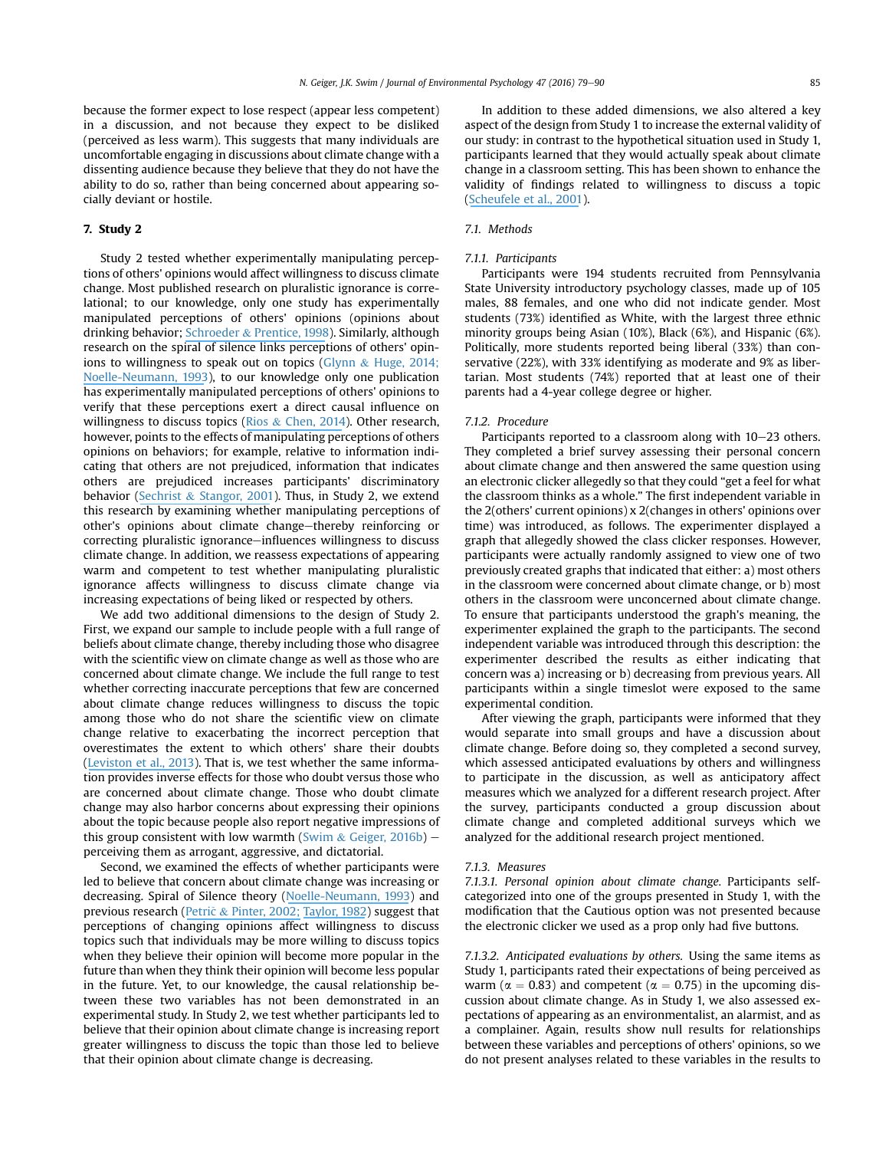because the former expect to lose respect (appear less competent) in a discussion, and not because they expect to be disliked (perceived as less warm). This suggests that many individuals are uncomfortable engaging in discussions about climate change with a dissenting audience because they believe that they do not have the ability to do so, rather than being concerned about appearing socially deviant or hostile.

## 7. Study 2

Study 2 tested whether experimentally manipulating perceptions of others' opinions would affect willingness to discuss climate change. Most published research on pluralistic ignorance is correlational; to our knowledge, only one study has experimentally manipulated perceptions of others' opinions (opinions about drinking behavior; Schroeder & Prentice, 1998). Similarly, although research on the spiral of silence links perceptions of others' opinions to willingness to speak out on topics (Glynn & Huge, 2014; Noelle-Neumann, 1993), to our knowledge only one publication has experimentally manipulated perceptions of others' opinions to verify that these perceptions exert a direct causal influence on willingness to discuss topics (Rios & Chen, 2014). Other research, however, points to the effects of manipulating perceptions of others opinions on behaviors; for example, relative to information indicating that others are not prejudiced, information that indicates others are prejudiced increases participants' discriminatory behavior (Sechrist & Stangor, 2001). Thus, in Study 2, we extend this research by examining whether manipulating perceptions of other's opinions about climate change-thereby reinforcing or correcting pluralistic ignorance-influences willingness to discuss climate change. In addition, we reassess expectations of appearing warm and competent to test whether manipulating pluralistic ignorance affects willingness to discuss climate change via increasing expectations of being liked or respected by others.

We add two additional dimensions to the design of Study 2. First, we expand our sample to include people with a full range of beliefs about climate change, thereby including those who disagree with the scientific view on climate change as well as those who are concerned about climate change. We include the full range to test whether correcting inaccurate perceptions that few are concerned about climate change reduces willingness to discuss the topic among those who do not share the scientific view on climate change relative to exacerbating the incorrect perception that overestimates the extent to which others' share their doubts (Leviston et al., 2013). That is, we test whether the same information provides inverse effects for those who doubt versus those who are concerned about climate change. Those who doubt climate change may also harbor concerns about expressing their opinions about the topic because people also report negative impressions of this group consistent with low warmth (Swim & Geiger,  $2016b$ ) perceiving them as arrogant, aggressive, and dictatorial.

Second, we examined the effects of whether participants were led to believe that concern about climate change was increasing or decreasing. Spiral of Silence theory (Noelle-Neumann, 1993) and previous research (Petrič & Pinter, 2002; Taylor, 1982) suggest that perceptions of changing opinions affect willingness to discuss topics such that individuals may be more willing to discuss topics when they believe their opinion will become more popular in the future than when they think their opinion will become less popular in the future. Yet, to our knowledge, the causal relationship between these two variables has not been demonstrated in an experimental study. In Study 2, we test whether participants led to believe that their opinion about climate change is increasing report greater willingness to discuss the topic than those led to believe that their opinion about climate change is decreasing.

In addition to these added dimensions, we also altered a key aspect of the design from Study 1 to increase the external validity of our study: in contrast to the hypothetical situation used in Study 1, participants learned that they would actually speak about climate change in a classroom setting. This has been shown to enhance the validity of findings related to willingness to discuss a topic (Scheufele et al., 2001).

## 7.1. Methods

#### 7.1.1. Participants

Participants were 194 students recruited from Pennsylvania State University introductory psychology classes, made up of 105 males, 88 females, and one who did not indicate gender. Most students (73%) identified as White, with the largest three ethnic minority groups being Asian (10%), Black (6%), and Hispanic (6%). Politically, more students reported being liberal (33%) than conservative (22%), with 33% identifying as moderate and 9% as libertarian. Most students (74%) reported that at least one of their parents had a 4-year college degree or higher.

#### 7.1.2. Procedure

Participants reported to a classroom along with  $10-23$  others. They completed a brief survey assessing their personal concern about climate change and then answered the same question using an electronic clicker allegedly so that they could "get a feel for what the classroom thinks as a whole." The first independent variable in the 2(others' current opinions) x 2(changes in others' opinions over time) was introduced, as follows. The experimenter displayed a graph that allegedly showed the class clicker responses. However, participants were actually randomly assigned to view one of two previously created graphs that indicated that either: a) most others in the classroom were concerned about climate change, or b) most others in the classroom were unconcerned about climate change. To ensure that participants understood the graph's meaning, the experimenter explained the graph to the participants. The second independent variable was introduced through this description: the experimenter described the results as either indicating that concern was a) increasing or b) decreasing from previous years. All participants within a single timeslot were exposed to the same experimental condition.

After viewing the graph, participants were informed that they would separate into small groups and have a discussion about climate change. Before doing so, they completed a second survey, which assessed anticipated evaluations by others and willingness to participate in the discussion, as well as anticipatory affect measures which we analyzed for a different research project. After the survey, participants conducted a group discussion about climate change and completed additional surveys which we analyzed for the additional research project mentioned.

#### 7.1.3. Measures

7.1.3.1. Personal opinion about climate change. Participants selfcategorized into one of the groups presented in Study 1, with the modification that the Cautious option was not presented because the electronic clicker we used as a prop only had five buttons.

7.1.3.2. Anticipated evaluations by others. Using the same items as Study 1, participants rated their expectations of being perceived as warm ( $\alpha = 0.83$ ) and competent ( $\alpha = 0.75$ ) in the upcoming discussion about climate change. As in Study 1, we also assessed expectations of appearing as an environmentalist, an alarmist, and as a complainer. Again, results show null results for relationships between these variables and perceptions of others' opinions, so we do not present analyses related to these variables in the results to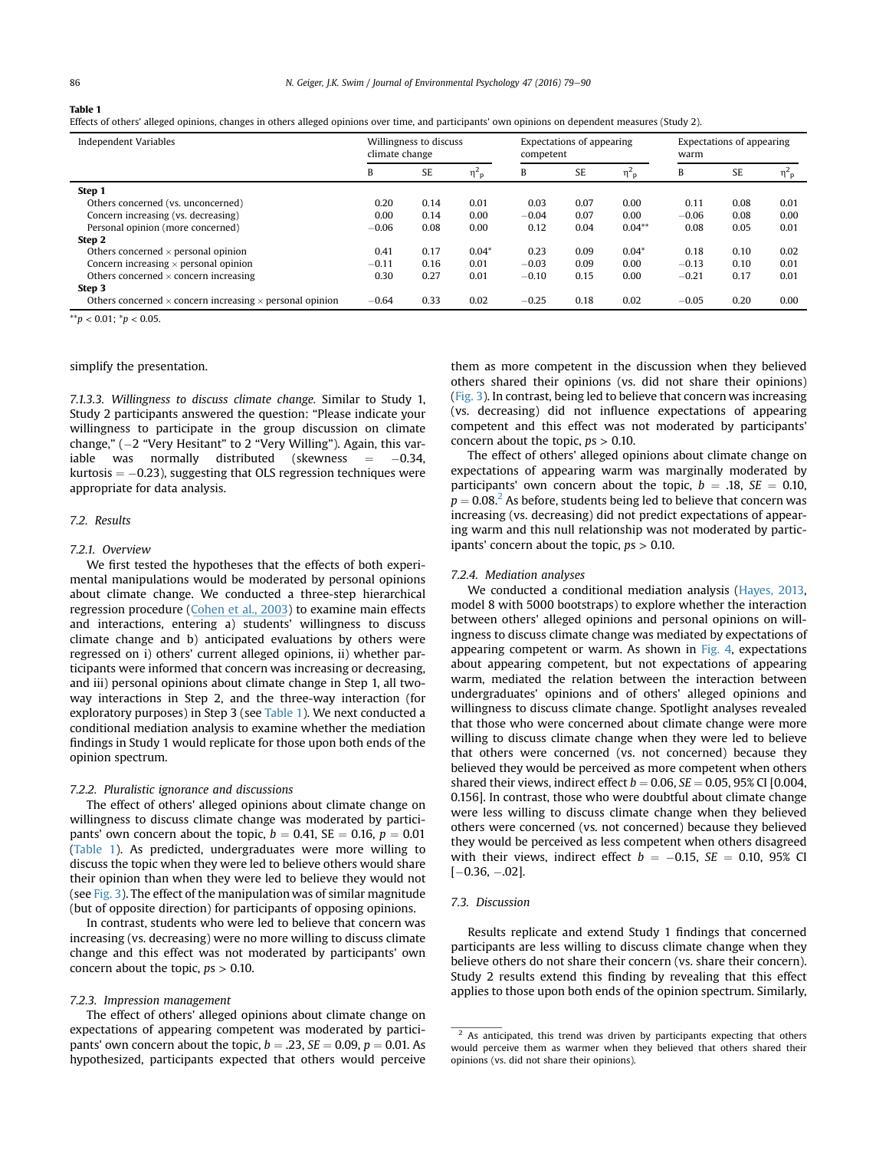#### Table 1

Effects of others' alleged opinions, changes in others alleged opinions over time, and participants' own opinions on dependent measures (Study 2).

| <b>Independent Variables</b>                                           | Willingness to discuss<br>climate change |           |            | Expectations of appearing<br>competent |           |                     | Expectations of appearing<br>warm |           |            |
|------------------------------------------------------------------------|------------------------------------------|-----------|------------|----------------------------------------|-----------|---------------------|-----------------------------------|-----------|------------|
|                                                                        | B                                        | <b>SE</b> | $\eta_{p}$ | B                                      | <b>SE</b> | $\eta_{\text{D}}^2$ | В                                 | <b>SE</b> | $\eta_{p}$ |
| Step 1                                                                 |                                          |           |            |                                        |           |                     |                                   |           |            |
| Others concerned (vs. unconcerned)                                     | 0.20                                     | 0.14      | 0.01       | 0.03                                   | 0.07      | 0.00                | 0.11                              | 0.08      | 0.01       |
| Concern increasing (vs. decreasing)                                    | 0.00                                     | 0.14      | 0.00       | $-0.04$                                | 0.07      | 0.00                | $-0.06$                           | 0.08      | 0.00       |
| Personal opinion (more concerned)                                      | $-0.06$                                  | 0.08      | 0.00       | 0.12                                   | 0.04      | $0.04**$            | 0.08                              | 0.05      | 0.01       |
| Step 2                                                                 |                                          |           |            |                                        |           |                     |                                   |           |            |
| Others concerned $\times$ personal opinion                             | 0.41                                     | 0.17      | $0.04*$    | 0.23                                   | 0.09      | $0.04*$             | 0.18                              | 0.10      | 0.02       |
| Concern increasing $\times$ personal opinion                           | $-0.11$                                  | 0.16      | 0.01       | $-0.03$                                | 0.09      | 0.00                | $-0.13$                           | 0.10      | 0.01       |
| Others concerned $\times$ concern increasing                           | 0.30                                     | 0.27      | 0.01       | $-0.10$                                | 0.15      | 0.00                | $-0.21$                           | 0.17      | 0.01       |
| Step 3                                                                 |                                          |           |            |                                        |           |                     |                                   |           |            |
| Others concerned $\times$ concern increasing $\times$ personal opinion | $-0.64$                                  | 0.33      | 0.02       | $-0.25$                                | 0.18      | 0.02                | $-0.05$                           | 0.20      | 0.00       |

 $*$  $p$  < 0.01;  $*$  $p$  < 0.05.

## simplify the presentation.

7.1.3.3. Willingness to discuss climate change. Similar to Study 1, Study 2 participants answered the question: "Please indicate your willingness to participate in the group discussion on climate change,"  $(-2$  "Very Hesitant" to 2 "Very Willing"). Again, this var-<br>iable was normally distributed (skewness  $= -0.34$ . iable was normally distributed (skewness kurtosis  $= -0.23$ ), suggesting that OLS regression techniques were appropriate for data analysis.

## 7.2. Results

#### 7.2.1. Overview

We first tested the hypotheses that the effects of both experimental manipulations would be moderated by personal opinions about climate change. We conducted a three-step hierarchical regression procedure (Cohen et al., 2003) to examine main effects and interactions, entering a) students' willingness to discuss climate change and b) anticipated evaluations by others were regressed on i) others' current alleged opinions, ii) whether participants were informed that concern was increasing or decreasing, and iii) personal opinions about climate change in Step 1, all twoway interactions in Step 2, and the three-way interaction (for exploratory purposes) in Step 3 (see Table 1). We next conducted a conditional mediation analysis to examine whether the mediation findings in Study 1 would replicate for those upon both ends of the opinion spectrum.

## 7.2.2. Pluralistic ignorance and discussions

The effect of others' alleged opinions about climate change on willingness to discuss climate change was moderated by participants' own concern about the topic,  $b = 0.41$ , SE = 0.16,  $p = 0.01$ (Table 1). As predicted, undergraduates were more willing to discuss the topic when they were led to believe others would share their opinion than when they were led to believe they would not (see Fig. 3). The effect of the manipulation was of similar magnitude (but of opposite direction) for participants of opposing opinions.

In contrast, students who were led to believe that concern was increasing (vs. decreasing) were no more willing to discuss climate change and this effect was not moderated by participants' own concern about the topic,  $ps > 0.10$ .

## 7.2.3. Impression management

The effect of others' alleged opinions about climate change on expectations of appearing competent was moderated by participants' own concern about the topic,  $b = .23$ ,  $SE = 0.09$ ,  $p = 0.01$ . As hypothesized, participants expected that others would perceive them as more competent in the discussion when they believed others shared their opinions (vs. did not share their opinions) (Fig. 3). In contrast, being led to believe that concern was increasing (vs. decreasing) did not influence expectations of appearing competent and this effect was not moderated by participants' concern about the topic,  $ps > 0.10$ .

The effect of others' alleged opinions about climate change on expectations of appearing warm was marginally moderated by participants' own concern about the topic,  $b = .18$ ,  $SE = 0.10$ ,  $p = 0.08<sup>2</sup>$  As before, students being led to believe that concern was increasing (vs. decreasing) did not predict expectations of appearing warm and this null relationship was not moderated by participants' concern about the topic,  $ps > 0.10$ .

#### 7.2.4. Mediation analyses

We conducted a conditional mediation analysis (Hayes, 2013, model 8 with 5000 bootstraps) to explore whether the interaction between others' alleged opinions and personal opinions on willingness to discuss climate change was mediated by expectations of appearing competent or warm. As shown in Fig. 4, expectations about appearing competent, but not expectations of appearing warm, mediated the relation between the interaction between undergraduates' opinions and of others' alleged opinions and willingness to discuss climate change. Spotlight analyses revealed that those who were concerned about climate change were more willing to discuss climate change when they were led to believe that others were concerned (vs. not concerned) because they believed they would be perceived as more competent when others shared their views, indirect effect  $b = 0.06$ ,  $SE = 0.05$ , 95% CI [0.004, 0.156]. In contrast, those who were doubtful about climate change were less willing to discuss climate change when they believed others were concerned (vs. not concerned) because they believed they would be perceived as less competent when others disagreed with their views, indirect effect  $b = -0.15$ ,  $SE = 0.10$ , 95% CI  $[-0.36, -.02]$ .

## 7.3. Discussion

Results replicate and extend Study 1 findings that concerned participants are less willing to discuss climate change when they believe others do not share their concern (vs. share their concern). Study 2 results extend this finding by revealing that this effect applies to those upon both ends of the opinion spectrum. Similarly,

 $2$  As anticipated, this trend was driven by participants expecting that others would perceive them as warmer when they believed that others shared their opinions (vs. did not share their opinions).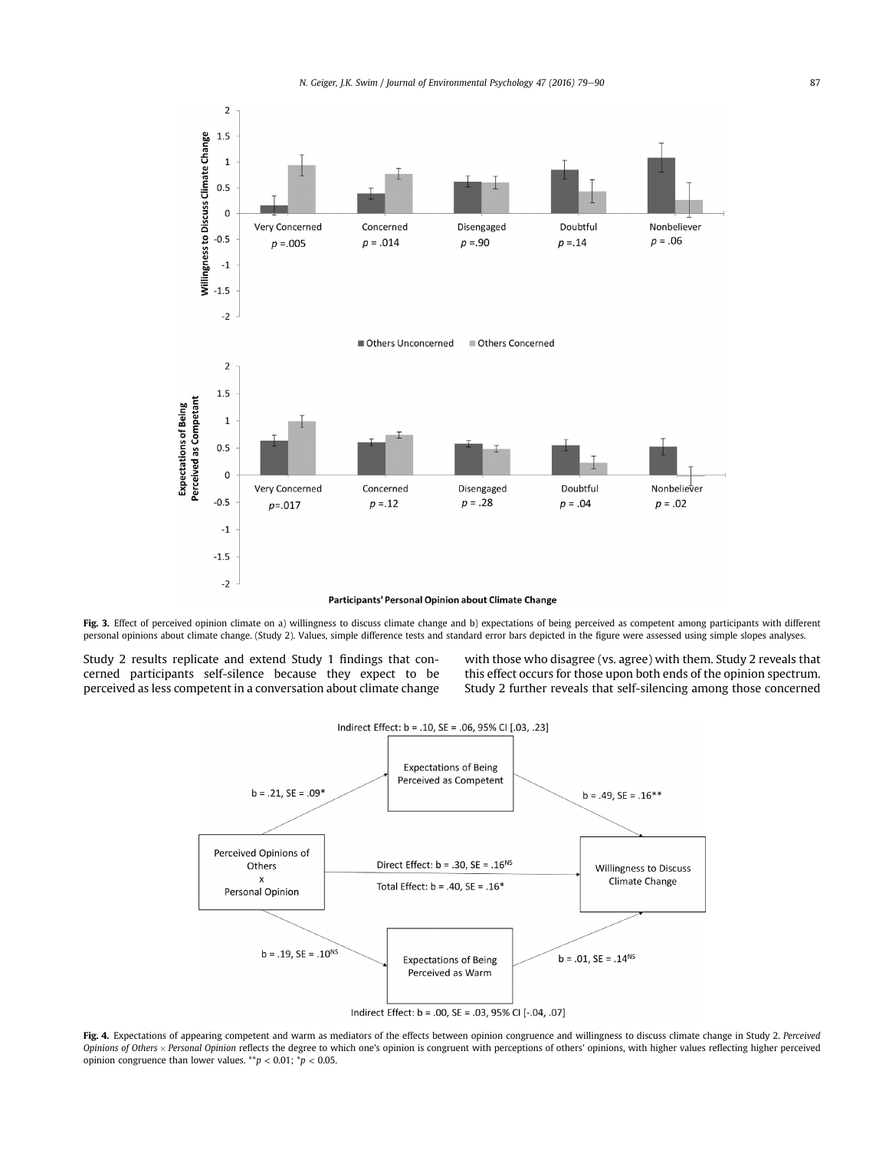



Fig. 3. Effect of perceived opinion climate on a) willingness to discuss climate change and b) expectations of being perceived as competent among participants with different personal opinions about climate change. (Study 2). Values, simple difference tests and standard error bars depicted in the figure were assessed using simple slopes analyses.

Study 2 results replicate and extend Study 1 findings that concerned participants self-silence because they expect to be perceived as less competent in a conversation about climate change

with those who disagree (vs. agree) with them. Study 2 reveals that this effect occurs for those upon both ends of the opinion spectrum. Study 2 further reveals that self-silencing among those concerned



Fig. 4. Expectations of appearing competent and warm as mediators of the effects between opinion congruence and willingness to discuss climate change in Study 2. Perceived Opinions of Others x Personal Opinion reflects the degree to which one's opinion is congruent with perceptions of others' opinions, with higher values reflecting higher perceived opinion congruence than lower values.  $^{**}p < 0.01$ ;  $^{*}p < 0.05$ .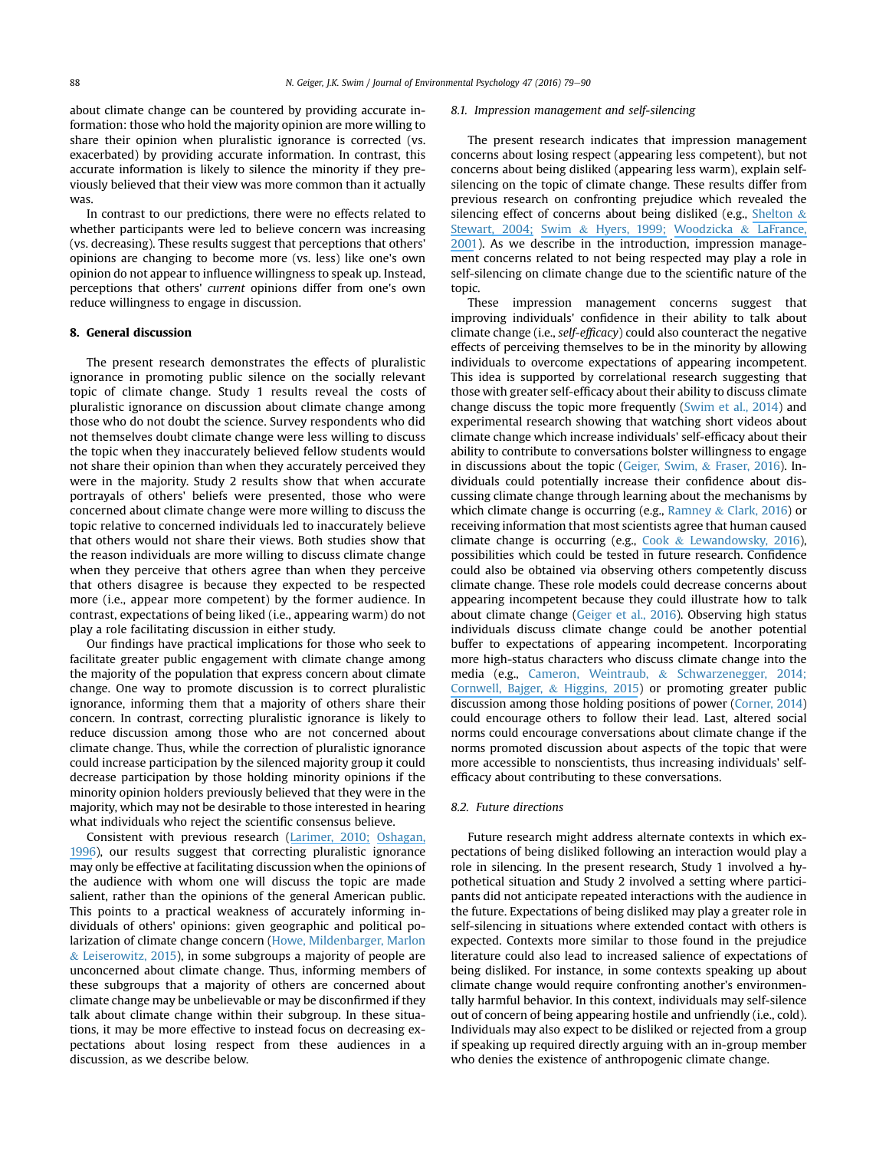about climate change can be countered by providing accurate information: those who hold the majority opinion are more willing to share their opinion when pluralistic ignorance is corrected (vs. exacerbated) by providing accurate information. In contrast, this accurate information is likely to silence the minority if they previously believed that their view was more common than it actually was.

In contrast to our predictions, there were no effects related to whether participants were led to believe concern was increasing (vs. decreasing). These results suggest that perceptions that others' opinions are changing to become more (vs. less) like one's own opinion do not appear to influence willingness to speak up. Instead, perceptions that others' current opinions differ from one's own reduce willingness to engage in discussion.

## 8. General discussion

The present research demonstrates the effects of pluralistic ignorance in promoting public silence on the socially relevant topic of climate change. Study 1 results reveal the costs of pluralistic ignorance on discussion about climate change among those who do not doubt the science. Survey respondents who did not themselves doubt climate change were less willing to discuss the topic when they inaccurately believed fellow students would not share their opinion than when they accurately perceived they were in the majority. Study 2 results show that when accurate portrayals of others' beliefs were presented, those who were concerned about climate change were more willing to discuss the topic relative to concerned individuals led to inaccurately believe that others would not share their views. Both studies show that the reason individuals are more willing to discuss climate change when they perceive that others agree than when they perceive that others disagree is because they expected to be respected more (i.e., appear more competent) by the former audience. In contrast, expectations of being liked (i.e., appearing warm) do not play a role facilitating discussion in either study.

Our findings have practical implications for those who seek to facilitate greater public engagement with climate change among the majority of the population that express concern about climate change. One way to promote discussion is to correct pluralistic ignorance, informing them that a majority of others share their concern. In contrast, correcting pluralistic ignorance is likely to reduce discussion among those who are not concerned about climate change. Thus, while the correction of pluralistic ignorance could increase participation by the silenced majority group it could decrease participation by those holding minority opinions if the minority opinion holders previously believed that they were in the majority, which may not be desirable to those interested in hearing what individuals who reject the scientific consensus believe.

Consistent with previous research (Larimer, 2010; Oshagan, 1996), our results suggest that correcting pluralistic ignorance may only be effective at facilitating discussion when the opinions of the audience with whom one will discuss the topic are made salient, rather than the opinions of the general American public. This points to a practical weakness of accurately informing individuals of others' opinions: given geographic and political polarization of climate change concern (Howe, Mildenbarger, Marlon & Leiserowitz, 2015), in some subgroups a majority of people are unconcerned about climate change. Thus, informing members of these subgroups that a majority of others are concerned about climate change may be unbelievable or may be disconfirmed if they talk about climate change within their subgroup. In these situations, it may be more effective to instead focus on decreasing expectations about losing respect from these audiences in a discussion, as we describe below.

## 8.1. Impression management and self-silencing

The present research indicates that impression management concerns about losing respect (appearing less competent), but not concerns about being disliked (appearing less warm), explain selfsilencing on the topic of climate change. These results differ from previous research on confronting prejudice which revealed the silencing effect of concerns about being disliked (e.g., Shelton  $\&$ Stewart, 2004; Swim & Hyers, 1999; Woodzicka & LaFrance, 2001). As we describe in the introduction, impression management concerns related to not being respected may play a role in self-silencing on climate change due to the scientific nature of the topic.

These impression management concerns suggest that improving individuals' confidence in their ability to talk about climate change (i.e., self-efficacy) could also counteract the negative effects of perceiving themselves to be in the minority by allowing individuals to overcome expectations of appearing incompetent. This idea is supported by correlational research suggesting that those with greater self-efficacy about their ability to discuss climate change discuss the topic more frequently (Swim et al., 2014) and experimental research showing that watching short videos about climate change which increase individuals' self-efficacy about their ability to contribute to conversations bolster willingness to engage in discussions about the topic (Geiger, Swim, & Fraser, 2016). Individuals could potentially increase their confidence about discussing climate change through learning about the mechanisms by which climate change is occurring (e.g., Ramney & Clark, 2016) or receiving information that most scientists agree that human caused climate change is occurring (e.g., Cook & Lewandowsky, 2016), possibilities which could be tested in future research. Confidence could also be obtained via observing others competently discuss climate change. These role models could decrease concerns about appearing incompetent because they could illustrate how to talk about climate change (Geiger et al., 2016). Observing high status individuals discuss climate change could be another potential buffer to expectations of appearing incompetent. Incorporating more high-status characters who discuss climate change into the media (e.g., Cameron, Weintraub, & Schwarzenegger, 2014; Cornwell, Bajger, & Higgins, 2015) or promoting greater public discussion among those holding positions of power (Corner, 2014) could encourage others to follow their lead. Last, altered social norms could encourage conversations about climate change if the norms promoted discussion about aspects of the topic that were more accessible to nonscientists, thus increasing individuals' selfefficacy about contributing to these conversations.

#### 8.2. Future directions

Future research might address alternate contexts in which expectations of being disliked following an interaction would play a role in silencing. In the present research, Study 1 involved a hypothetical situation and Study 2 involved a setting where participants did not anticipate repeated interactions with the audience in the future. Expectations of being disliked may play a greater role in self-silencing in situations where extended contact with others is expected. Contexts more similar to those found in the prejudice literature could also lead to increased salience of expectations of being disliked. For instance, in some contexts speaking up about climate change would require confronting another's environmentally harmful behavior. In this context, individuals may self-silence out of concern of being appearing hostile and unfriendly (i.e., cold). Individuals may also expect to be disliked or rejected from a group if speaking up required directly arguing with an in-group member who denies the existence of anthropogenic climate change.